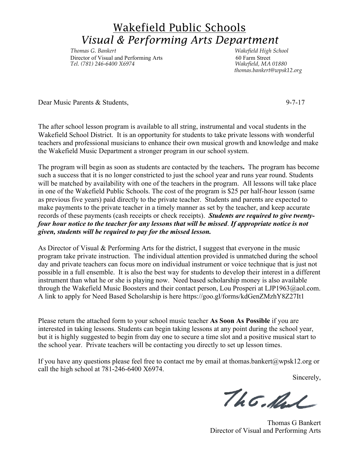## Wakefield Public Schools *Visual & Performing Arts Department*

*Thomas G. Bankert Wakefield High School Director of Visual and Performing Arts* 60 Farm Street<br> *Tel.* (781) 246-6400 X6974 *Wakefield, MA 01880 Tel. (781) 246-6400 X6974 Wakefield, MA 01880*

 *thomas.bankert@wpsk12.org*

Dear Music Parents & Students, 9-7-17

The after school lesson program is available to all string, instrumental and vocal students in the Wakefield School District. It is an opportunity for students to take private lessons with wonderful teachers and professional musicians to enhance their own musical growth and knowledge and make the Wakefield Music Department a stronger program in our school system.

The program will begin as soon as students are contacted by the teachers**.** The program has become such a success that it is no longer constricted to just the school year and runs year round. Students will be matched by availability with one of the teachers in the program. All lessons will take place in one of the Wakefield Public Schools. The cost of the program is \$25 per half-hour lesson (same as previous five years) paid directly to the private teacher. Students and parents are expected to make payments to the private teacher in a timely manner as set by the teacher, and keep accurate records of these payments (cash receipts or check receipts). *Students are required to give twentyfour hour notice to the teacher for any lessons that will be missed*. *If appropriate notice is not given, students will be required to pay for the missed lesson.*

As Director of Visual & Performing Arts for the district, I suggest that everyone in the music program take private instruction. The individual attention provided is unmatched during the school day and private teachers can focus more on individual instrument or voice technique that is just not possible in a full ensemble. It is also the best way for students to develop their interest in a different instrument than what he or she is playing now. Need based scholarship money is also available through the Wakefield Music Boosters and their contact person, Lou Prosperi at LJP1963@aol.com. A link to apply for Need Based Scholarship is here https://goo.gl/forms/kdGenZMzhY8Z27It1

Please return the attached form to your school music teacher **As Soon As Possible** if you are interested in taking lessons. Students can begin taking lessons at any point during the school year, but it is highly suggested to begin from day one to secure a time slot and a positive musical start to the school year. Private teachers will be contacting you directly to set up lesson times.

If you have any questions please feel free to contact me by email at thomas.bankert@wpsk12.org or call the high school at 781-246-6400 X6974.

Sincerely,

The Mal

Thomas G Bankert Director of Visual and Performing Arts